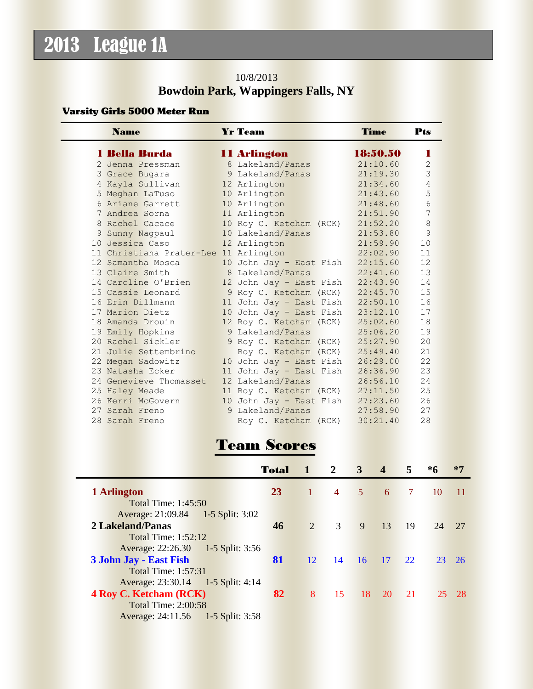# 2013 League 1A

#### 10/8/2013 **Bowdoin Park, Wappingers Falls, NY**

#### Varsity Girls 5000 Meter Run

| <b>Name</b> |                                       | <b>Yr Team</b>          | Time     | Pts            |
|-------------|---------------------------------------|-------------------------|----------|----------------|
|             | 1 Bella Burda                         | 11 Arlington            | 18:50.50 | п              |
|             | 2 Jenna Pressman                      | 8 Lakeland/Panas        | 21:10.60 | $\overline{2}$ |
|             | 3 Grace Bugara                        | 9 Lakeland/Panas        | 21:19.30 | 3              |
|             | 4 Kayla Sullivan                      | 12 Arlington            | 21:34.60 | 4              |
|             | 5 Meghan LaTuso                       | 10 Arlington            | 21:43.60 | 5              |
|             | 6 Ariane Garrett                      | 10 Arlington            | 21:48.60 | 6              |
|             | 7 Andrea Sorna                        | 11 Arlington            | 21:51.90 | 7              |
|             | 8 Rachel Cacace                       | 10 Roy C. Ketcham (RCK) | 21:52.20 | 8              |
|             | 9 Sunny Nagpaul                       | 10 Lakeland/Panas       | 21:53.80 | 9              |
|             | 10 Jessica Caso                       | 12 Arlington            | 21:59.90 | 10             |
|             | 11 Christiana Prater-Lee 11 Arlington |                         | 22:02.90 | 11             |
|             | 12 Samantha Mosca                     | 10 John Jay - East Fish | 22:15.60 | 12             |
|             | 13 Claire Smith                       | 8 Lakeland/Panas        | 22:41.60 | 13             |
|             | 14 Caroline O'Brien                   | 12 John Jay - East Fish | 22:43.90 | 14             |
|             | 15 Cassie Leonard                     | 9 Roy C. Ketcham (RCK)  | 22:45.70 | 15             |
|             | 16 Erin Dillmann                      | 11 John Jay - East Fish | 22:50.10 | 16             |
|             | 17 Marion Dietz                       | 10 John Jay - East Fish | 23:12.10 | 17             |
|             | 18 Amanda Drouin                      | 12 Roy C. Ketcham (RCK) | 25:02.60 | 18             |
|             | 19 Emily Hopkins                      | 9 Lakeland/Panas        | 25:06.20 | 19             |
|             | 20 Rachel Sickler                     | 9 Roy C. Ketcham (RCK)  | 25:27.90 | 20             |
|             | 21 Julie Settembrino                  | Roy C. Ketcham (RCK)    | 25:49.40 | 21             |
|             | 22 Megan Sadowitz                     | 10 John Jay - East Fish | 26:29.00 | 22             |
|             | 23 Natasha Ecker                      | 11 John Jay - East Fish | 26:36.90 | 23             |
|             | 24 Genevieve Thomasset                | 12 Lakeland/Panas       | 26:56.10 | 24             |
|             | 25 Haley Meade                        | 11 Roy C. Ketcham (RCK) | 27:11.50 | 25             |
|             | 26 Kerri McGovern                     | 10 John Jay - East Fish | 27:23.60 | 26             |
|             | 27 Sarah Freno                        | 9 Lakeland/Panas        | 27:58.90 | 27             |
|             | 28 Sarah Freno                        | Roy C. Ketcham (RCK)    | 30:21.40 | 28             |

# Team Scores

|                                   | Total | $\mathbf{1}$   | $\sqrt{2}$     | 3 <sup>1</sup> | $\overline{4}$ | 5             | $*6$ | $*7$  |
|-----------------------------------|-------|----------------|----------------|----------------|----------------|---------------|------|-------|
| 1 Arlington                       | 23    | $\P$           | $\overline{4}$ | 5 <sup>1</sup> | -6             | $\sqrt{7}$    | 10   | -11   |
| <b>Total Time: 1:45:50</b>        |       |                |                |                |                |               |      |       |
| Average: 21:09.84 1-5 Split: 3:02 |       |                |                |                |                |               |      |       |
| <b>2 Lakeland/Panas</b>           | 46    | $\overline{2}$ | 3              | 9              | <sup>13</sup>  | <sup>19</sup> | 24   | 27    |
| <b>Total Time: 1:52:12</b>        |       |                |                |                |                |               |      |       |
| Average: 22:26.30 1-5 Split: 3:56 |       |                |                |                |                |               |      |       |
| 3 John Jay - East Fish            | 81    | 12             | 14             | $16 \t 17$     |                | 22            |      | 23 26 |
| <b>Total Time: 1:57:31</b>        |       |                |                |                |                |               |      |       |
| Average: 23:30.14 1-5 Split: 4:14 |       |                |                |                |                |               |      |       |
| <b>4 Roy C. Ketcham (RCK)</b>     | 82    | 8              | 15             | 18             | 20             | 21            | 25   | - 28  |
| <b>Total Time: 2:00:58</b>        |       |                |                |                |                |               |      |       |
| Average: 24:11.56 1-5 Split: 3:58 |       |                |                |                |                |               |      |       |